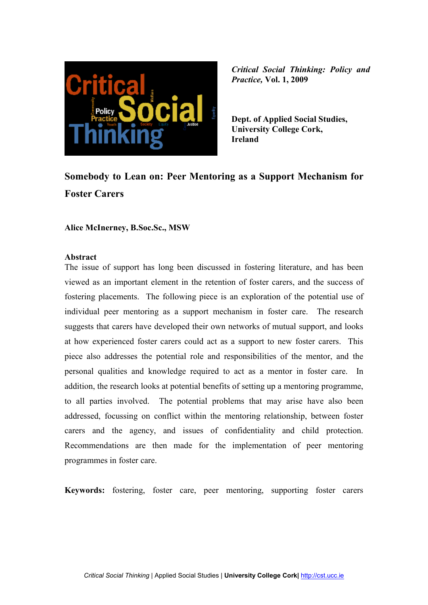

**Dept. of Applied Social Studies, University College Cork, Ireland** 

# **Somebody to Lean on: Peer Mentoring as a Support Mechanism for Foster Carers**

**Alice McInerney, B.Soc.Sc., MSW**

#### **Abstract**

The issue of support has long been discussed in fostering literature, and has been viewed as an important element in the retention of foster carers, and the success of fostering placements. The following piece is an exploration of the potential use of individual peer mentoring as a support mechanism in foster care. The research suggests that carers have developed their own networks of mutual support, and looks at how experienced foster carers could act as a support to new foster carers. This piece also addresses the potential role and responsibilities of the mentor, and the personal qualities and knowledge required to act as a mentor in foster care. In addition, the research looks at potential benefits of setting up a mentoring programme, to all parties involved. The potential problems that may arise have also been addressed, focussing on conflict within the mentoring relationship, between foster carers and the agency, and issues of confidentiality and child protection. Recommendations are then made for the implementation of peer mentoring programmes in foster care.

**Keywords:** fostering, foster care, peer mentoring, supporting foster carers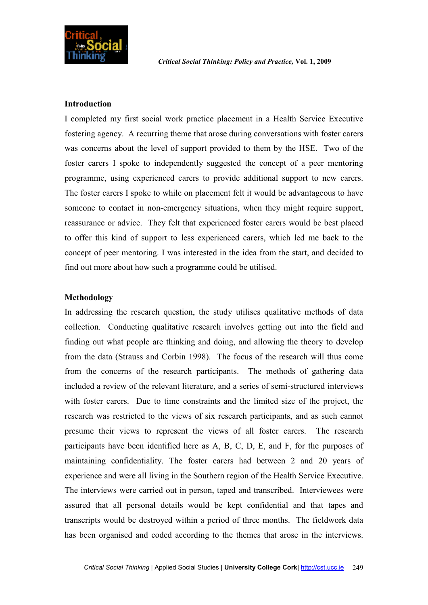

### **Introduction**

I completed my first social work practice placement in a Health Service Executive fostering agency. A recurring theme that arose during conversations with foster carers was concerns about the level of support provided to them by the HSE. Two of the foster carers I spoke to independently suggested the concept of a peer mentoring programme, using experienced carers to provide additional support to new carers. The foster carers I spoke to while on placement felt it would be advantageous to have someone to contact in non-emergency situations, when they might require support, reassurance or advice. They felt that experienced foster carers would be best placed to offer this kind of support to less experienced carers, which led me back to the concept of peer mentoring. I was interested in the idea from the start, and decided to find out more about how such a programme could be utilised.

### **Methodology**

In addressing the research question, the study utilises qualitative methods of data collection. Conducting qualitative research involves getting out into the field and finding out what people are thinking and doing, and allowing the theory to develop from the data (Strauss and Corbin 1998). The focus of the research will thus come from the concerns of the research participants. The methods of gathering data included a review of the relevant literature, and a series of semi-structured interviews with foster carers. Due to time constraints and the limited size of the project, the research was restricted to the views of six research participants, and as such cannot presume their views to represent the views of all foster carers. The research participants have been identified here as A, B, C, D, E, and F, for the purposes of maintaining confidentiality. The foster carers had between 2 and 20 years of experience and were all living in the Southern region of the Health Service Executive. The interviews were carried out in person, taped and transcribed. Interviewees were assured that all personal details would be kept confidential and that tapes and transcripts would be destroyed within a period of three months. The fieldwork data has been organised and coded according to the themes that arose in the interviews.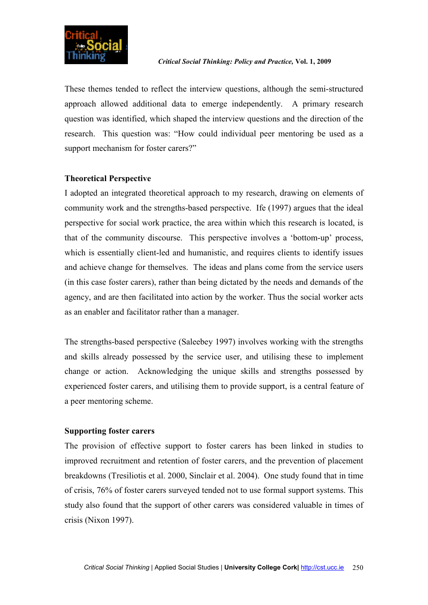

These themes tended to reflect the interview questions, although the semi-structured approach allowed additional data to emerge independently. A primary research question was identified, which shaped the interview questions and the direction of the research. This question was: "How could individual peer mentoring be used as a support mechanism for foster carers?"

# **Theoretical Perspective**

I adopted an integrated theoretical approach to my research, drawing on elements of community work and the strengths-based perspective. Ife (1997) argues that the ideal perspective for social work practice, the area within which this research is located, is that of the community discourse. This perspective involves a 'bottom-up' process, which is essentially client-led and humanistic, and requires clients to identify issues and achieve change for themselves. The ideas and plans come from the service users (in this case foster carers), rather than being dictated by the needs and demands of the agency, and are then facilitated into action by the worker. Thus the social worker acts as an enabler and facilitator rather than a manager.

The strengths-based perspective (Saleebey 1997) involves working with the strengths and skills already possessed by the service user, and utilising these to implement change or action. Acknowledging the unique skills and strengths possessed by experienced foster carers, and utilising them to provide support, is a central feature of a peer mentoring scheme.

# **Supporting foster carers**

The provision of effective support to foster carers has been linked in studies to improved recruitment and retention of foster carers, and the prevention of placement breakdowns (Tresiliotis et al. 2000, Sinclair et al. 2004). One study found that in time of crisis, 76% of foster carers surveyed tended not to use formal support systems. This study also found that the support of other carers was considered valuable in times of crisis (Nixon 1997).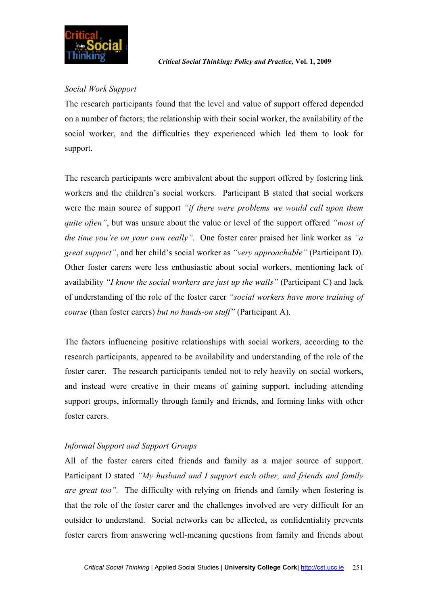

# *Social Work Support*

The research participants found that the level and value of support offered depended on a number of factors; the relationship with their social worker, the availability of the social worker, and the difficulties they experienced which led them to look for support.

The research participants were ambivalent about the support offered by fostering link workers and the children's social workers. Participant B stated that social workers were the main source of support *"if there were problems we would call upon them quite often"*, but was unsure about the value or level of the support offered *"most of the time you're on your own really"*. One foster carer praised her link worker as *"a great support"*, and her child's social worker as *"very approachable"* (Participant D). Other foster carers were less enthusiastic about social workers, mentioning lack of availability *"I know the social workers are just up the walls"* (Participant C) and lack of understanding of the role of the foster carer *"social workers have more training of course* (than foster carers) *but no hands-on stuff"* (Participant A).

The factors influencing positive relationships with social workers, according to the research participants, appeared to be availability and understanding of the role of the foster carer. The research participants tended not to rely heavily on social workers, and instead were creative in their means of gaining support, including attending support groups, informally through family and friends, and forming links with other foster carers.

# *Informal Support and Support Groups*

All of the foster carers cited friends and family as a major source of support. Participant D stated *"My husband and I support each other, and friends and family are great too".* The difficulty with relying on friends and family when fostering is that the role of the foster carer and the challenges involved are very difficult for an outsider to understand. Social networks can be affected, as confidentiality prevents foster carers from answering well-meaning questions from family and friends about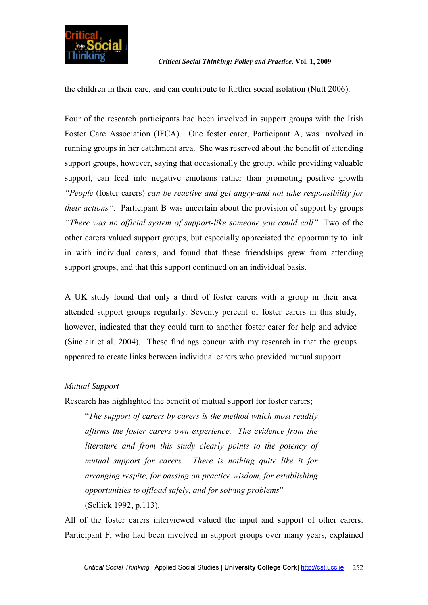

the children in their care, and can contribute to further social isolation (Nutt 2006).

Four of the research participants had been involved in support groups with the Irish Foster Care Association (IFCA). One foster carer, Participant A, was involved in running groups in her catchment area. She was reserved about the benefit of attending support groups, however, saying that occasionally the group, while providing valuable support, can feed into negative emotions rather than promoting positive growth *"People* (foster carers) *can be reactive and get angry-and not take responsibility for their actions*". Participant B was uncertain about the provision of support by groups *"There was no official system of support-like someone you could call".* Two of the other carers valued support groups, but especially appreciated the opportunity to link in with individual carers, and found that these friendships grew from attending support groups, and that this support continued on an individual basis.

A UK study found that only a third of foster carers with a group in their area attended support groups regularly. Seventy percent of foster carers in this study, however, indicated that they could turn to another foster carer for help and advice (Sinclair et al. 2004). These findings concur with my research in that the groups appeared to create links between individual carers who provided mutual support.

# *Mutual Support*

Research has highlighted the benefit of mutual support for foster carers;

"*The support of carers by carers is the method which most readily affirms the foster carers own experience. The evidence from the literature and from this study clearly points to the potency of mutual support for carers. There is nothing quite like it for arranging respite, for passing on practice wisdom, for establishing opportunities to offload safely, and for solving problems*" (Sellick 1992, p.113).

All of the foster carers interviewed valued the input and support of other carers. Participant F, who had been involved in support groups over many years, explained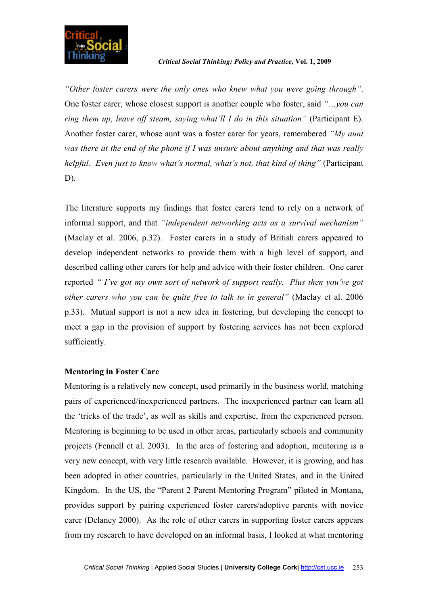

*"Other foster carers were the only ones who knew what you were going through"*. One foster carer, whose closest support is another couple who foster, said *"…you can ring them up, leave off steam, saying what'll I do in this situation"* (Participant E). Another foster carer, whose aunt was a foster carer for years, remembered *"My aunt was there at the end of the phone if I was unsure about anything and that was really helpful. Even just to know what's normal, what's not, that kind of thing*" (Participant D).

The literature supports my findings that foster carers tend to rely on a network of informal support, and that *"independent networking acts as a survival mechanism"* (Maclay et al. 2006, p.32). Foster carers in a study of British carers appeared to develop independent networks to provide them with a high level of support, and described calling other carers for help and advice with their foster children. One carer reported *" I've got my own sort of network of support really. Plus then you've got other carers who you can be quite free to talk to in general"* (Maclay et al. 2006 p.33). Mutual support is not a new idea in fostering, but developing the concept to meet a gap in the provision of support by fostering services has not been explored sufficiently.

#### **Mentoring in Foster Care**

Mentoring is a relatively new concept, used primarily in the business world, matching pairs of experienced/inexperienced partners. The inexperienced partner can learn all the 'tricks of the trade', as well as skills and expertise, from the experienced person. Mentoring is beginning to be used in other areas, particularly schools and community projects (Fennell et al. 2003). In the area of fostering and adoption, mentoring is a very new concept, with very little research available. However, it is growing, and has been adopted in other countries, particularly in the United States, and in the United Kingdom. In the US, the "Parent 2 Parent Mentoring Program" piloted in Montana, provides support by pairing experienced foster carers/adoptive parents with novice carer (Delaney 2000). As the role of other carers in supporting foster carers appears from my research to have developed on an informal basis, I looked at what mentoring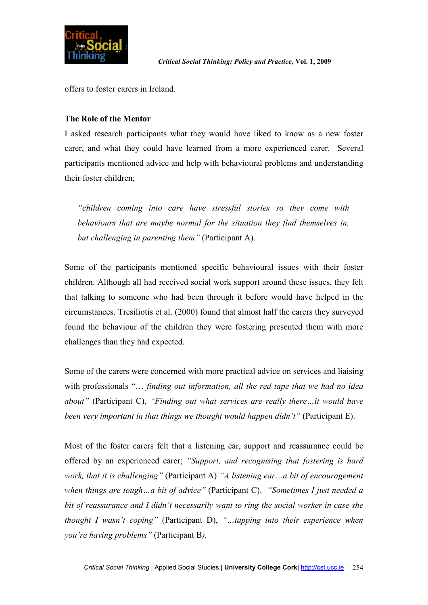

offers to foster carers in Ireland.

# **The Role of the Mentor**

I asked research participants what they would have liked to know as a new foster carer, and what they could have learned from a more experienced carer. Several participants mentioned advice and help with behavioural problems and understanding their foster children;

*"children coming into care have stressful stories so they come with behaviours that are maybe normal for the situation they find themselves in, but challenging in parenting them"* (Participant A).

Some of the participants mentioned specific behavioural issues with their foster children. Although all had received social work support around these issues, they felt that talking to someone who had been through it before would have helped in the circumstances. Tresiliotis et al. (2000) found that almost half the carers they surveyed found the behaviour of the children they were fostering presented them with more challenges than they had expected.

Some of the carers were concerned with more practical advice on services and liaising with professionals "… *finding out information, all the red tape that we had no idea about"* (Participant C), *"Finding out what services are really there…it would have been very important in that things we thought would happen didn't"* (Participant E).

Most of the foster carers felt that a listening ear, support and reassurance could be offered by an experienced carer; *"Support, and recognising that fostering is hard work, that it is challenging"* (Participant A) *"A listening ear…a bit of encouragement when things are tough…a bit of advice"* (Participant C). *"Sometimes I just needed a bit of reassurance and I didn't necessarily want to ring the social worker in case she thought I wasn't coping"* (Participant D), *"…tapping into their experience when you're having problems"* (Participant B*).*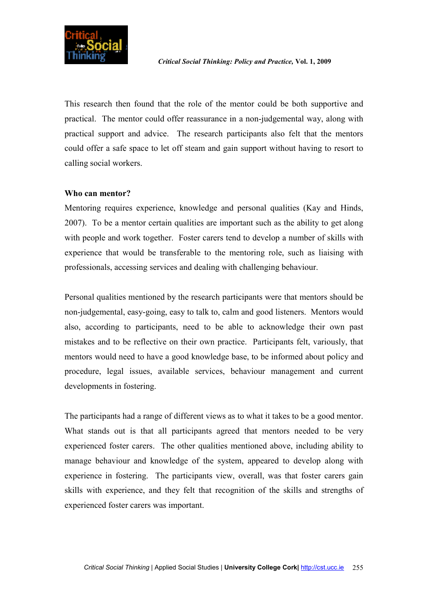

This research then found that the role of the mentor could be both supportive and practical. The mentor could offer reassurance in a non-judgemental way, along with practical support and advice. The research participants also felt that the mentors could offer a safe space to let off steam and gain support without having to resort to calling social workers.

### **Who can mentor?**

Mentoring requires experience, knowledge and personal qualities (Kay and Hinds, 2007). To be a mentor certain qualities are important such as the ability to get along with people and work together. Foster carers tend to develop a number of skills with experience that would be transferable to the mentoring role, such as liaising with professionals, accessing services and dealing with challenging behaviour.

Personal qualities mentioned by the research participants were that mentors should be non-judgemental, easy-going, easy to talk to, calm and good listeners. Mentors would also, according to participants, need to be able to acknowledge their own past mistakes and to be reflective on their own practice. Participants felt, variously, that mentors would need to have a good knowledge base, to be informed about policy and procedure, legal issues, available services, behaviour management and current developments in fostering.

The participants had a range of different views as to what it takes to be a good mentor. What stands out is that all participants agreed that mentors needed to be very experienced foster carers. The other qualities mentioned above, including ability to manage behaviour and knowledge of the system, appeared to develop along with experience in fostering. The participants view, overall, was that foster carers gain skills with experience, and they felt that recognition of the skills and strengths of experienced foster carers was important.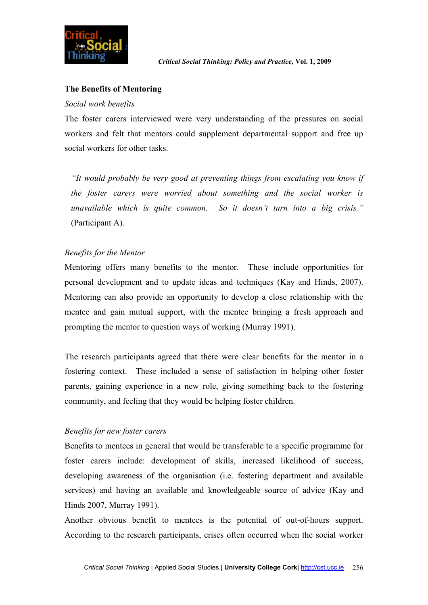

## **The Benefits of Mentoring**

#### *Social work benefits*

The foster carers interviewed were very understanding of the pressures on social workers and felt that mentors could supplement departmental support and free up social workers for other tasks.

*"It would probably be very good at preventing things from escalating you know if the foster carers were worried about something and the social worker is unavailable which is quite common. So it doesn't turn into a big crisis."* (Participant A).

# *Benefits for the Mentor*

Mentoring offers many benefits to the mentor. These include opportunities for personal development and to update ideas and techniques (Kay and Hinds, 2007). Mentoring can also provide an opportunity to develop a close relationship with the mentee and gain mutual support, with the mentee bringing a fresh approach and prompting the mentor to question ways of working (Murray 1991).

The research participants agreed that there were clear benefits for the mentor in a fostering context. These included a sense of satisfaction in helping other foster parents, gaining experience in a new role, giving something back to the fostering community, and feeling that they would be helping foster children.

#### *Benefits for new foster carers*

Benefits to mentees in general that would be transferable to a specific programme for foster carers include: development of skills, increased likelihood of success, developing awareness of the organisation (i.e. fostering department and available services) and having an available and knowledgeable source of advice (Kay and Hinds 2007, Murray 1991).

Another obvious benefit to mentees is the potential of out-of-hours support. According to the research participants, crises often occurred when the social worker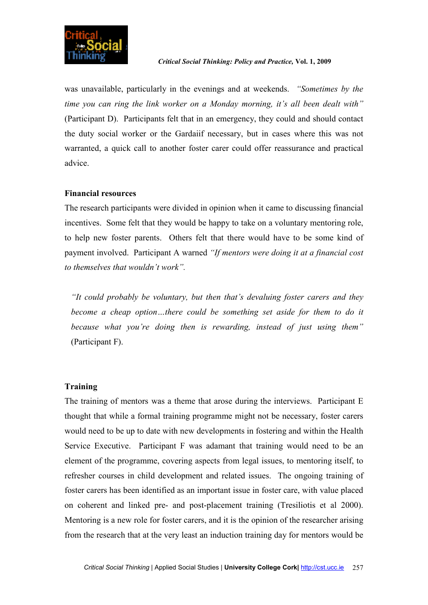

was unavailable, particularly in the evenings and at weekends. *"Sometimes by the time you can ring the link worker on a Monday morning, it's all been dealt with"* (Participant D). Participants felt that in an emergency, they could and should contact the duty social worker or the Gardaiif necessary, but in cases where this was not warranted, a quick call to another foster carer could offer reassurance and practical advice.

#### **Financial resources**

The research participants were divided in opinion when it came to discussing financial incentives. Some felt that they would be happy to take on a voluntary mentoring role, to help new foster parents. Others felt that there would have to be some kind of payment involved. Participant A warned *"If mentors were doing it at a financial cost to themselves that wouldn't work".*

*"It could probably be voluntary, but then that's devaluing foster carers and they become a cheap option…there could be something set aside for them to do it because what you're doing then is rewarding, instead of just using them"* (Participant F).

# **Training**

The training of mentors was a theme that arose during the interviews. Participant E thought that while a formal training programme might not be necessary, foster carers would need to be up to date with new developments in fostering and within the Health Service Executive. Participant F was adamant that training would need to be an element of the programme, covering aspects from legal issues, to mentoring itself, to refresher courses in child development and related issues. The ongoing training of foster carers has been identified as an important issue in foster care, with value placed on coherent and linked pre- and post-placement training (Tresiliotis et al 2000). Mentoring is a new role for foster carers, and it is the opinion of the researcher arising from the research that at the very least an induction training day for mentors would be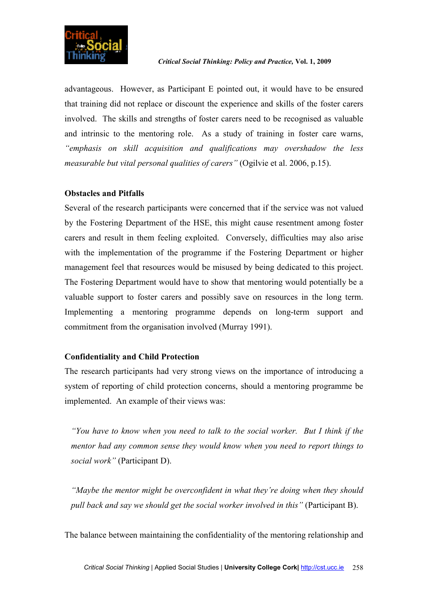

advantageous. However, as Participant E pointed out, it would have to be ensured that training did not replace or discount the experience and skills of the foster carers involved. The skills and strengths of foster carers need to be recognised as valuable and intrinsic to the mentoring role. As a study of training in foster care warns, *"emphasis on skill acquisition and qualifications may overshadow the less measurable but vital personal qualities of carers"* (Ogilvie et al. 2006, p.15).

# **Obstacles and Pitfalls**

Several of the research participants were concerned that if the service was not valued by the Fostering Department of the HSE, this might cause resentment among foster carers and result in them feeling exploited. Conversely, difficulties may also arise with the implementation of the programme if the Fostering Department or higher management feel that resources would be misused by being dedicated to this project. The Fostering Department would have to show that mentoring would potentially be a valuable support to foster carers and possibly save on resources in the long term. Implementing a mentoring programme depends on long-term support and commitment from the organisation involved (Murray 1991).

# **Confidentiality and Child Protection**

The research participants had very strong views on the importance of introducing a system of reporting of child protection concerns, should a mentoring programme be implemented. An example of their views was:

*"You have to know when you need to talk to the social worker. But I think if the mentor had any common sense they would know when you need to report things to social work"* (Participant D).

*"Maybe the mentor might be overconfident in what they're doing when they should pull back and say we should get the social worker involved in this"* (Participant B).

The balance between maintaining the confidentiality of the mentoring relationship and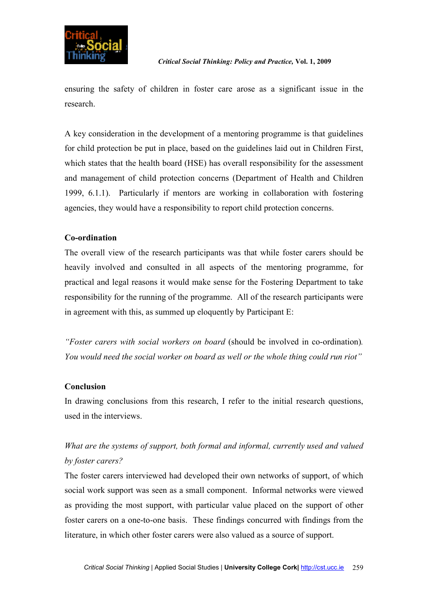

ensuring the safety of children in foster care arose as a significant issue in the research.

A key consideration in the development of a mentoring programme is that guidelines for child protection be put in place, based on the guidelines laid out in Children First, which states that the health board (HSE) has overall responsibility for the assessment and management of child protection concerns (Department of Health and Children 1999, 6.1.1). Particularly if mentors are working in collaboration with fostering agencies, they would have a responsibility to report child protection concerns.

# **Co-ordination**

The overall view of the research participants was that while foster carers should be heavily involved and consulted in all aspects of the mentoring programme, for practical and legal reasons it would make sense for the Fostering Department to take responsibility for the running of the programme. All of the research participants were in agreement with this, as summed up eloquently by Participant E:

*"Foster carers with social workers on board* (should be involved in co-ordination)*. You would need the social worker on board as well or the whole thing could run riot"*

# **Conclusion**

In drawing conclusions from this research, I refer to the initial research questions, used in the interviews.

# *What are the systems of support, both formal and informal, currently used and valued by foster carers?*

The foster carers interviewed had developed their own networks of support, of which social work support was seen as a small component. Informal networks were viewed as providing the most support, with particular value placed on the support of other foster carers on a one-to-one basis. These findings concurred with findings from the literature, in which other foster carers were also valued as a source of support.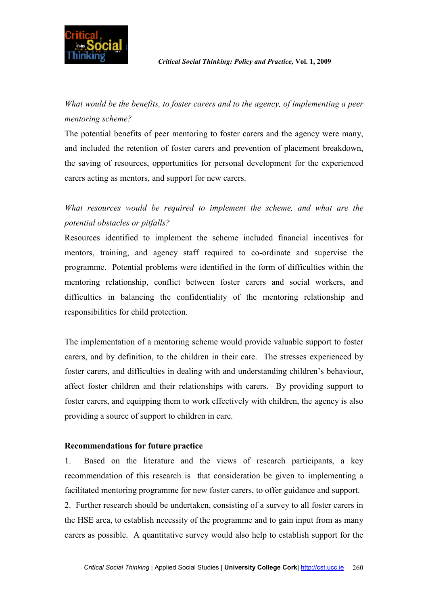

*What would be the benefits, to foster carers and to the agency, of implementing a peer mentoring scheme?* 

The potential benefits of peer mentoring to foster carers and the agency were many, and included the retention of foster carers and prevention of placement breakdown, the saving of resources, opportunities for personal development for the experienced carers acting as mentors, and support for new carers.

*What resources would be required to implement the scheme, and what are the potential obstacles or pitfalls?* 

Resources identified to implement the scheme included financial incentives for mentors, training, and agency staff required to co-ordinate and supervise the programme. Potential problems were identified in the form of difficulties within the mentoring relationship, conflict between foster carers and social workers, and difficulties in balancing the confidentiality of the mentoring relationship and responsibilities for child protection.

The implementation of a mentoring scheme would provide valuable support to foster carers, and by definition, to the children in their care. The stresses experienced by foster carers, and difficulties in dealing with and understanding children's behaviour, affect foster children and their relationships with carers. By providing support to foster carers, and equipping them to work effectively with children, the agency is also providing a source of support to children in care.

#### **Recommendations for future practice**

1. Based on the literature and the views of research participants, a key recommendation of this research is that consideration be given to implementing a facilitated mentoring programme for new foster carers, to offer guidance and support.

2. Further research should be undertaken, consisting of a survey to all foster carers in the HSE area, to establish necessity of the programme and to gain input from as many carers as possible. A quantitative survey would also help to establish support for the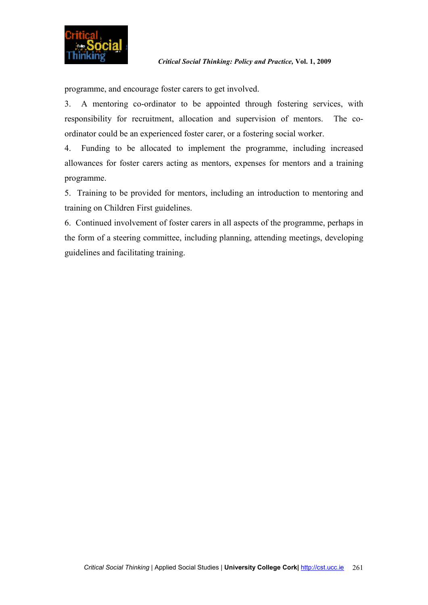

programme, and encourage foster carers to get involved.

3. A mentoring co-ordinator to be appointed through fostering services, with responsibility for recruitment, allocation and supervision of mentors. The coordinator could be an experienced foster carer, or a fostering social worker.

4. Funding to be allocated to implement the programme, including increased allowances for foster carers acting as mentors, expenses for mentors and a training programme.

5. Training to be provided for mentors, including an introduction to mentoring and training on Children First guidelines.

6. Continued involvement of foster carers in all aspects of the programme, perhaps in the form of a steering committee, including planning, attending meetings, developing guidelines and facilitating training.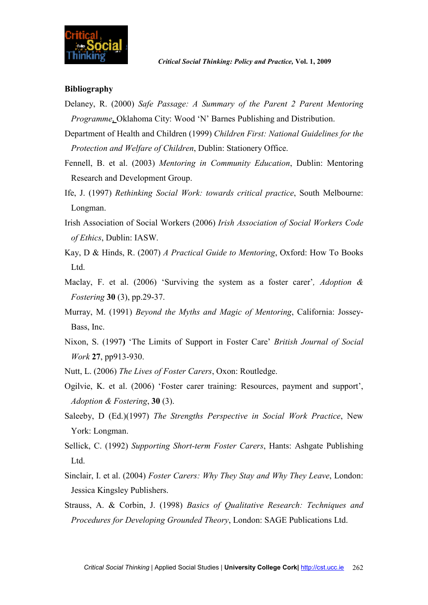

#### **Bibliography**

- Delaney, R. (2000) *Safe Passage: A Summary of the Parent 2 Parent Mentoring Programme*, Oklahoma City: Wood 'N' Barnes Publishing and Distribution.
- Department of Health and Children (1999) *Children First: National Guidelines for the Protection and Welfare of Children*, Dublin: Stationery Office.
- Fennell, B. et al. (2003) *Mentoring in Community Education*, Dublin: Mentoring Research and Development Group.
- Ife, J. (1997) *Rethinking Social Work: towards critical practice*, South Melbourne: Longman.
- Irish Association of Social Workers (2006) *Irish Association of Social Workers Code of Ethics*, Dublin: IASW.
- Kay, D & Hinds, R. (2007) *A Practical Guide to Mentoring*, Oxford: How To Books Ltd.
- Maclay, F. et al. (2006) 'Surviving the system as a foster carer'*, Adoption & Fostering* **30** (3), pp.29-37.
- Murray, M. (1991) *Beyond the Myths and Magic of Mentoring*, California: Jossey-Bass, Inc.
- Nixon, S. (1997**)** 'The Limits of Support in Foster Care' *British Journal of Social Work* **27**, pp913-930.
- Nutt, L. (2006) *The Lives of Foster Carers*, Oxon: Routledge.
- Ogilvie, K. et al. (2006) 'Foster carer training: Resources, payment and support', *Adoption & Fostering*, **30** (3).
- Saleeby, D (Ed.)(1997) *The Strengths Perspective in Social Work Practice*, New York: Longman.
- Sellick, C. (1992) *Supporting Short-term Foster Carers*, Hants: Ashgate Publishing Ltd.
- Sinclair, I. et al. (2004) *Foster Carers: Why They Stay and Why They Leave*, London: Jessica Kingsley Publishers.
- Strauss, A. & Corbin, J. (1998) *Basics of Qualitative Research: Techniques and Procedures for Developing Grounded Theory*, London: SAGE Publications Ltd.